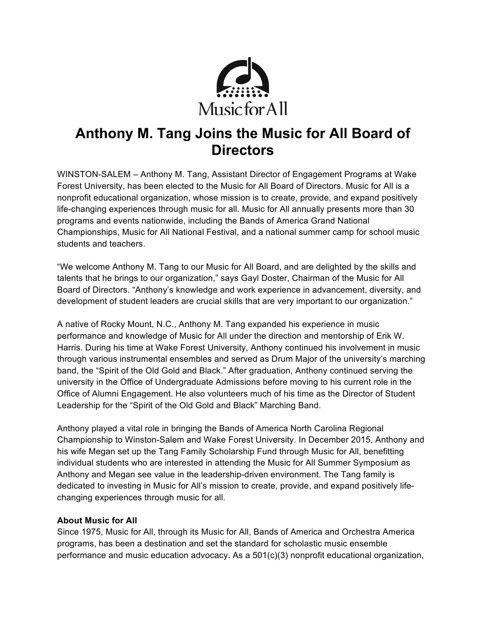

## **Anthony M. Tang Joins the Music for All Board of Directors**

WINSTON-SALEM – Anthony M. Tang, Assistant Director of Engagement Programs at Wake Forest University, has been elected to the Music for All Board of Directors. Music for All is a nonprofit educational organization, whose mission is to create, provide, and expand positively life-changing experiences through music for all. Music for All annually presents more than 30 programs and events nationwide, including the Bands of America Grand National Championships, Music for All National Festival, and a national summer camp for school music students and teachers.

"We welcome Anthony M. Tang to our Music for All Board, and are delighted by the skills and talents that he brings to our organization," says Gayl Doster, Chairman of the Music for All Board of Directors. "Anthony's knowledge and work experience in advancement, diversity, and development of student leaders are crucial skills that are very important to our organization."

A native of Rocky Mount, N.C., Anthony M. Tang expanded his experience in music performance and knowledge of Music for All under the direction and mentorship of Erik W. Harris. During his time at Wake Forest University, Anthony continued his involvement in music through various instrumental ensembles and served as Drum Major of the university's marching band, the "Spirit of the Old Gold and Black." After graduation, Anthony continued serving the university in the Office of Undergraduate Admissions before moving to his current role in the Office of Alumni Engagement. He also volunteers much of his time as the Director of Student Leadership for the "Spirit of the Old Gold and Black" Marching Band.

Anthony played a vital role in bringing the Bands of America North Carolina Regional Championship to Winston-Salem and Wake Forest University. In December 2015, Anthony and his wife Megan set up the Tang Family Scholarship Fund through Music for All, benefitting individual students who are interested in attending the Music for All Summer Symposium as Anthony and Megan see value in the leadership-driven environment. The Tang family is dedicated to investing in Music for All's mission to create, provide, and expand positively lifechanging experiences through music for all.

## **About Music for All**

Since 1975, Music for All, through its Music for All, Bands of America and Orchestra America programs, has been a destination and set the standard for scholastic music ensemble performance and music education advocacy. As a 501(c)(3) nonprofit educational organization,